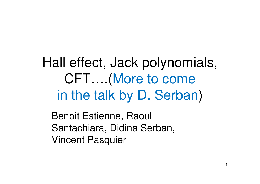Hall effect, Jack polynomials, CFT….(More to comein the talk by D. Serban)

Benoit Estienne, Raoul Santachiara, Didina Serban, Vincent Pasquier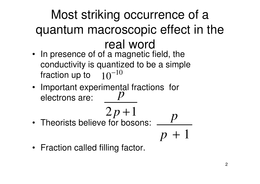# Most striking occurrence of a quantum macroscopic effect in the real word

- In presence of of a magnetic field, the conductivity is quantized to be a simple fraction up to  $\quad10^{-10}$  $10^{-1}$
- Important experimental fractions for electrons are:*p*

$$
2p+1
$$

• Theorists believe for bosons: 

$$
\overline{p+1}
$$

*p*

• Fraction called filling factor.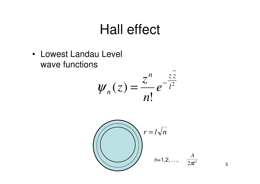#### **Hall effect**

• Lowest Landau Level wave functions





3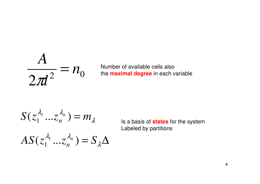$$
\frac{A}{2\pi l^2} = n_0
$$

Number of available cells alsothe **maximal degree** in each variable

$$
S(z_1^{\lambda_1}...z_n^{\lambda_n}) = m_{\lambda}
$$

$$
AS(z_1^{\lambda_1}...z_n^{\lambda_n}) = S_{\lambda} \Delta
$$

 $\mathbb{R}^1$   $\cdots$   $\mathbb{R}^n$   $\mathbb{R}^n$  a basis of **states** for the system Labeled by partitions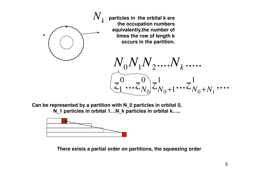

**particles in the orbital k are the occupation numbers equivalently,the number of times the row of length k occurs in the partition.** 

 $\cdots \sim N_{\Omega} \sim N_{\Omega} + 1 \cdots \sim N_{\Omega} + N_{\Omega} \cdots$  $0<sup>1</sup>$   $1<sup>1</sup>$   $2<sup>1</sup>$   $\cdots$ <sup>1</sup>  $k<sup>1</sup>$   $\cdots$ <sup>1</sup> 1  $7^1$ 1 $0 \t 7^0$  $1 \cdot \cdot \cdot \cdot N_0 \sim N_0 + 1 \cdot \cdot \cdot \cdot N_0 + N_1$  $Z_1 \cdots Z_{N_0}$ ,  $Z_{N_0+1} \cdots Z_{N_0+1}$  $\frac{N_0N_1N_2....N_1N_k}{N_0N_1N_2...N_k}$ 

**Can be represented by a partition with N\_0 particles in orbital 0,N\_1 particles in orbital 1…N\_k particles in orbital k…..** 



**There exists a partial order on partitions, the squeezing order**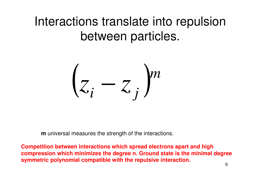#### Interactions translate into repulsionbetween particles.



**m** universal measures the strength of the interactions.

**Competition between interactions which spread electrons apart and high compression which minimizes the degree n. Ground state is the minimal degreesymmetric polynomial compatible with the repulsive interaction.**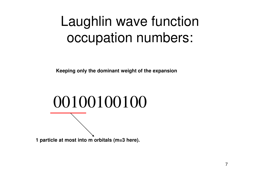# Laughlin wave functionoccupation numbers:

**Keeping only the dominant weight of the expansion** 

# 00100100100

**1 particle at most into m orbitals (m=3 here).**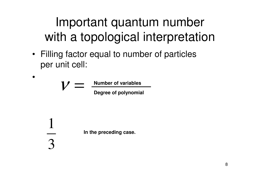## Important quantum numberwith a topological interpretation

• Filling factor equal to number of particles per unit cell:

$$
V = \frac{\text{Number of variables}}{\text{Degree of polynomial}}
$$

•

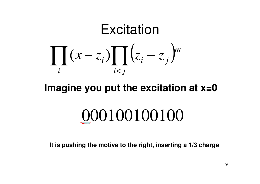#### Excitation∏ $\prod_i (x - z_i) \prod_{i < j} (z_i - z_j)$  $i < i$  $-\angle_i \int_{i < j} \sqrt{\angle_i}$ *m* $(x-z_i)$   $\int$   $\int$   $(z_i-z_j)$ *i*

#### **Imagine you put the excitation at x=0**

# 000100100100

**It is pushing the motive to the right, inserting a 1/3 charge**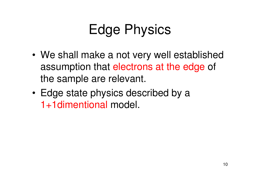# Edge Physics

- • We shall make a not very well establishedassumption that electrons at the edge of the sample are relevant.
- • Edge state physics described by a 1+1dimentional model.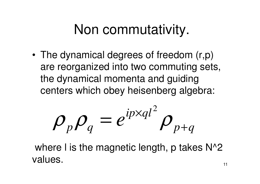# Non commutativity.

• The dynamical degrees of freedom (r,p) are reorganized into two commuting sets, the dynamical momenta and guidingcenters which obey heisenberg algebra:

$$
\rho_p \rho_q = e^{ip \times q l^2} \rho_{p+q}
$$

where I is the magnetic length, p takes  $N^2$ values.the contract of the contract of the contract of the contract of the contract of the contract of the contract o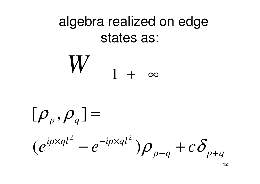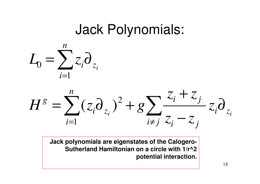#### Jack Polynomials:





**Jack polynomials are eigenstates of the Calogero-Sutherland Hamiltonian on a circle with 1/r^2 potential interaction.**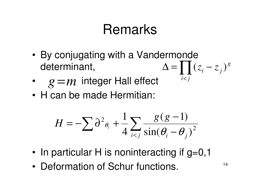# Remarks

- • By conjugating with a Vandermonde determinant,  $\Delta = \prod (z_i - z_j)^g$
- •integer Hall effect *g* <sup>=</sup>*<sup>m</sup>*
- •H can be made Hermitian:

$$
H = -\sum \partial^2 \theta_i + \frac{1}{4} \sum_{i < j} \frac{g(g-1)}{\sin(\theta_i - \theta_j)^2}
$$

- •In particular H is noninteracting if g=0,1
- •Deformation of Schur functions.

*i j* <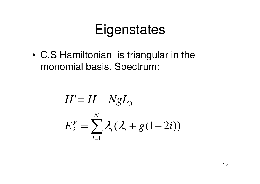# Eigenstates

• C.S Hamiltonian is triangular in the monomial basis. Spectrum:

$$
H' = H - NgL_0
$$
  

$$
E_{\lambda}^g = \sum_{i=1}^{N} \lambda_i (\lambda_i + g(1-2i))
$$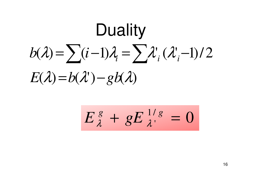$E(\lambda) = b(\lambda') - gb(\lambda)$  $b(\lambda) = \sum_{i} (i-1)\lambda_i = \sum_{i} \lambda_i'(\lambda_i-1)/2$ = $Duality = \sum (i-1)\lambda_i = \sum \lambda_i' (\lambda_i - \lambda_i - g\lambda)$ 

$$
E^{\,g}_{\,\lambda}+gE^{\,1/\,g}_{\,\lambda'}=0
$$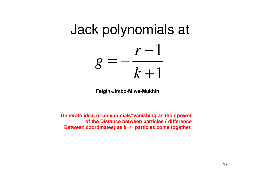#### Jack polynomials at $\mathbf 1$  $\mathbf 1$ +−*r*=*kg*

**Feigin-Jimbo-Miwa-Mukhin**

**Generate ideal of polynomials"vanishing as the r power of the Distance between particles ( differenceBetween coordinates) as k+1 particles come together.**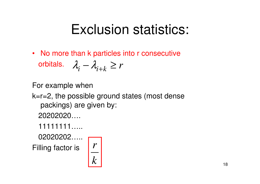# Exclusion statistics:

• No more than k particles into r consecutiveorbitals.  $\quad \lambda_{\cdot} - \lambda_{\cdot + k} \geq r$  $\lambda_i^+$ −−  $\lambda_{i+k}$ ≥

For example when

- k=r=2, the possible ground states (most dense packings) are given by:
	- 20202020….
	- 11111111…..

 $02020202...$ Filling factor is

$$
\left\lfloor \frac{r}{k} \right\rfloor
$$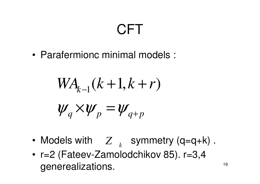# **CFT**

•Parafermionc minimal models :

$$
WAk-1(k+1, k+r)
$$
  

$$
\psi_q \times \psi_p = \psi_{q+p}
$$

- •Models with  $Z_{k}$  symmetry (q=q+k). *<sup>k</sup>*
- • r=2 (Fateev-Zamolodchikov 85). r=3,4 generealizations. $\blacksquare$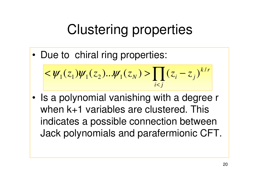# Clustering properties

•Due to chiral ring properties:

$$
<\psi_1(z_1)\psi_1(z_2)... \psi_1(z_N) > \prod_{i < j} (z_i - z_j)^{k/r}
$$

 $\bullet$  Is a polynomial vanishing with a degree r when k+1 variables are clustered. This indicates a possible connection between Jack polynomials and parafermionic CFT.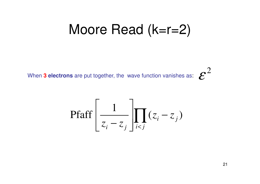#### Moore Read (k=r=2)

When **3 electrons** are put together, the wave function vanishes as:

$$
\text{Pfaff}\left[\frac{1}{z_i - z_j}\right] \prod_{i < j} (z_i - z_j)
$$

2

ε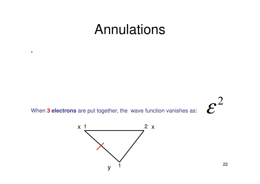#### Annulations

When 3 electrons are put together, the wave function vanishes as:

 $\blacksquare$ 



 $\boldsymbol{\varepsilon}^2$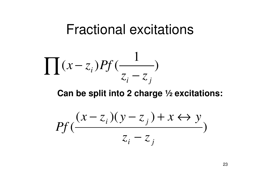#### Fractional excitations

$$
\prod (x-z_i)Pf(\frac{1}{z_i-z_j})
$$

**Can be split into 2 charge ½ excitations:** 

$$
Pf\left(\frac{(x-z_i)(y-z_j) + x \leftrightarrow y}{z_i - z_j}\right)
$$

23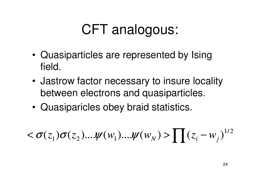# CFT analogous:

- • Quasiparticles are represented by Ising field.
- • Jastrow factor necessary to insure locality between electrons and quasiparticles.
- •Quasiparicles obey braid statistics.

$$
<\sigma(z_1)\sigma(z_2)... \psi(w_1)... \psi(w_N) > \prod (z_i - w_j)^{1/2}
$$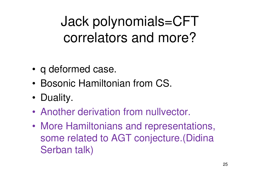# Jack polynomials=CFT correlators and more?

- •q deformed case.
- •Bosonic Hamiltonian from CS.
- •Duality.
- •Another derivation from nullvector.
- • More Hamiltonians and representations, some related to AGT conjecture.(DidinaSerban talk)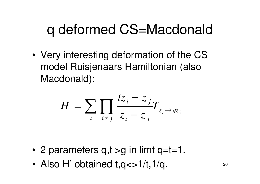# q deformed CS=Macdonald

• Very interesting deformation of the CS model Ruisjenaars Hamiltonian (also Macdonald):

$$
H = \sum_{i} \prod_{i \neq j} \frac{tz_i - z_j}{z_i - z_j} T_{z_i \to qz_i}
$$

- •2 parameters q,t >g in limt q=t=1.
- •Also H' obtained  $t, q \ll 1/t, 1/q$ .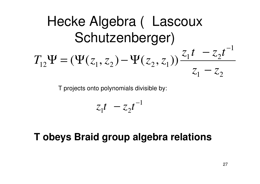Hecke Algebra ( Lascoux  
Schutzenberger)  

$$
T_{12}\Psi = (\Psi(z_1, z_2) - \Psi(z_2, z_1)) \frac{z_1 t - z_2 t^{-1}}{z_1 - z_2}
$$

T projects onto polynomials divisible by:

$$
z_1t - z_2t^{-1}
$$

**T obeys Braid group algebra relations**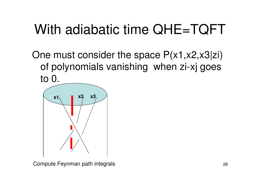# With adiabatic time QHE=TQFT

One must consider the space P(x1,x2,x3|zi) of polynomials vanishing when zi-xj goes to 0.



Compute Feynman path integrals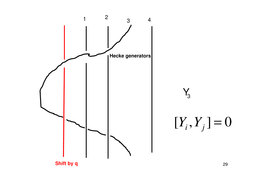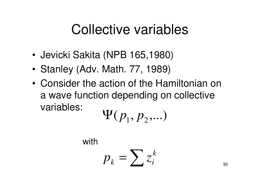# Collective variables

- •Jevicki Sakita (NPB 165,1980)
- •Stanley (Adv. Math. 77, 1989)
- • Consider the action of the Hamiltonian on a wave function depending on collective variables:

$$
\Psi(p_1, p_2, \ldots)
$$

with

$$
p_k = \sum z_i^k
$$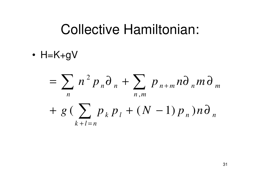#### **Collective Hamiltonian:**

•  $H=K+gV$ 

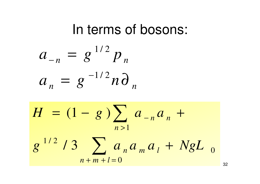#### In terms of bosons:

$$
a_{-n} = g^{1/2} p_n
$$
  

$$
a_n = g^{-1/2} n \partial_n
$$

$$
H = (1 - g) \sum_{n>1} a_{-n} a_n + g^{1/2} / 3 \sum_{n+m+l=0} a_n a_m a_l + NgL_0
$$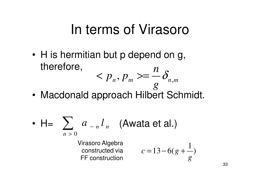#### In terms of Virasoro

*m*

•H is hermitian but p depend on g, therefore, *np* $p_n, p_m \geq -o_n$ ,  $p_m$  >=  $\delta$ 

*n*

• Macdonald approach Hilbert Schmidt. *g*

• 
$$
H = \sum_{n>0} a_{-n} l_n
$$
 (Awata et al.)

Virasoro Algebra constructed via FF construction

$$
c = 13 - 6(g + \frac{1}{g})
$$

*n*

*m*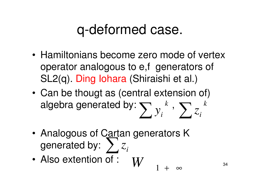## q-deformed case.

- • Hamiltonians become zero mode of vertex operator analogous to e,f generators of SL2(q). Ding Iohara (Shiraishi et al.)
- • Can be thougt as (central extension of) algebra generated by:  $\sum_{{\boldsymbol \cdot} , \,}^{} k$  , *i*∑*yk* $\sum z_i$ *z*
- • Analogous of Cartan generators K generated by: ∑*iz*
- •Also extention of :  $W$  34 *W*1+

∞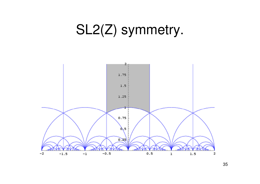# SL2(Z) symmetry.

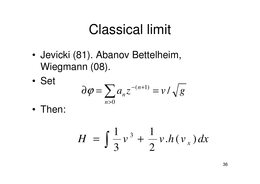# Classical limit

- • Jevicki (81). Abanov Bettelheim, Wiegmann (08).
- •Set

$$
\partial \varphi = \sum_{n>0} a_n z^{-(n+1)} = v / \sqrt{g}
$$

•Then:

$$
H = \int \frac{1}{3} v^3 + \frac{1}{2} v \cdot h(v_x) dx
$$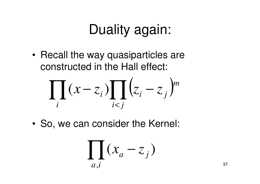# Duality again:

• Recall the way quasiparticles are constructed in the Hall effect:

$$
\prod_i (x - z_i) \prod_{i < j} \left( z_i - z_j \right)^m
$$

•So, we can consider the Kernel:

$$
\prod_{a,i} (x_a - z_j)
$$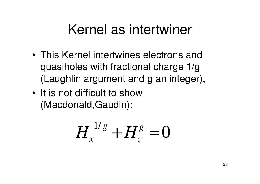## Kernel as intertwiner

- • This Kernel intertwines electrons and quasiholes with fractional charge 1/g (Laughlin argument and g an integer),
- • It is not difficult to show (Macdonald,Gaudin):

$$
H_x^{1/g} + H_z^g = 0
$$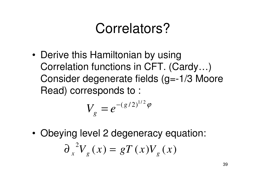# Correlators?

•Derive this Hamiltonian by using Correlation functions in CFT. (Cardy…) Consider degenerate fields (g=-1/3 Moore Read) corresponds to :

$$
V_g = e^{-(g/2)^{1/2}\varphi}
$$

• Obeying level 2 degeneracy equation:  $\partial_{x}^{2}V_{g}(x) = gT(x)V_{g}(x)$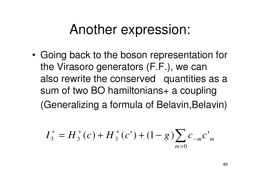#### Another expression:

• Going back to the boson representation for the Virasoro generators (F.F.), we can also rewrite the conserved quantities as a sum of two BO hamiltonians+ a coupling (Generalizing a formula of Belavin, Belavin)

$$
I_3^+ = H_3^+(c) + H_3^+(c') + (1 - g) \sum_{m>0} c_{-m} c'_m
$$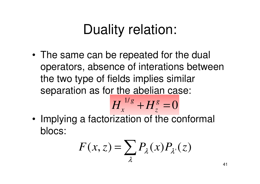# Duality relation:

• The same can be repeated for the dual operators, absence of interations between the two type of fields implies similar separation as for the abelian case:

$$
H_x^{1/g} + H_z^g = 0
$$

• Implying a factorization of the conformal blocs:

$$
F(x, z) = \sum_{\lambda} P_{\lambda}(x) P_{\lambda}(z)
$$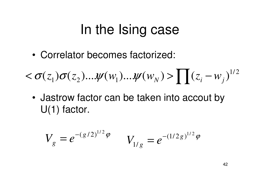# In the Ising case

•Correlator becomes factorized:

$$
\langle \sigma(z_1)\sigma(z_2)... \psi(w_1)... \psi(w_N) \rangle \prod (z_i-w_j)^{1/2}
$$

• Jastrow factor can be taken into accout by U(1) factor.

$$
V_g = e^{-(g/2)^{1/2}\varphi} \qquad V_{1/g} = e^{-(1/2g)^{1/2}\varphi}
$$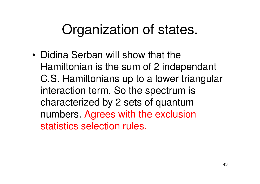# Organization of states.

• Didina Serban will show that the Hamiltonian is the sum of 2 independant C.S. Hamiltonians up to a lower triangularinteraction term. So the spectrum is characterized by 2 sets of quantum numbers. Agrees with the exclusion statistics selection rules.